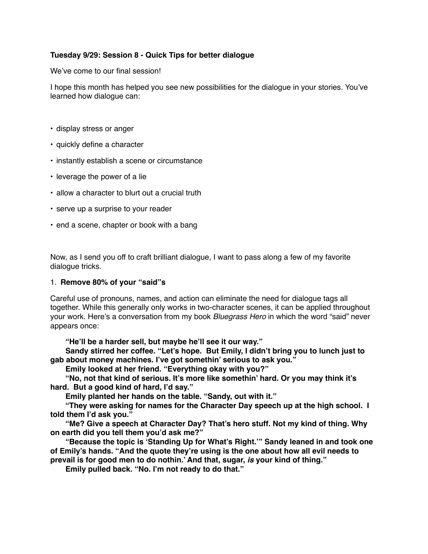### **Tuesday 9/29: Session 8 - Quick Tips for better dialogue**

We've come to our final session!

I hope this month has helped you see new possibilities for the dialogue in your stories. You've learned how dialogue can:

- display stress or anger
- quickly define a character
- instantly establish a scene or circumstance
- leverage the power of a lie
- allow a character to blurt out a crucial truth
- serve up a surprise to your reader
- end a scene, chapter or book with a bang

Now, as I send you off to craft brilliant dialogue, I want to pass along a few of my favorite dialogue tricks.

#### 1. **Remove 80% of your "said"s**

Careful use of pronouns, names, and action can eliminate the need for dialogue tags all together. While this generally only works in two-character scenes, it can be applied throughout your work. Here's a conversation from my book *Bluegrass Hero* in which the word "said" never appears once:

**"He'll be a harder sell, but maybe he'll see it our way."**

**Sandy stirred her coffee. "Let's hope. But Emily, I didn't bring you to lunch just to gab about money machines. I've got somethin' serious to ask you."**

**Emily looked at her friend. "Everything okay with you?"**

**"No, not that kind of serious. It's more like somethin' hard. Or you may think it's hard. But a good kind of hard, I'd say."**

**Emily planted her hands on the table. "Sandy, out with it."**

**"They were asking for names for the Character Day speech up at the high school. I told them I'd ask you."**

**"Me? Give a speech at Character Day? That's hero stuff. Not my kind of thing. Why on earth did you tell them you'd ask me?"**

**"Because the topic is 'Standing Up for What's Right.'" Sandy leaned in and took one of Emily's hands. "And the quote they're using is the one about how all evil needs to prevail is for good men to do nothin.' And that, sugar,** *is* **your kind of thing."**

**Emily pulled back. "No. I'm not ready to do that."**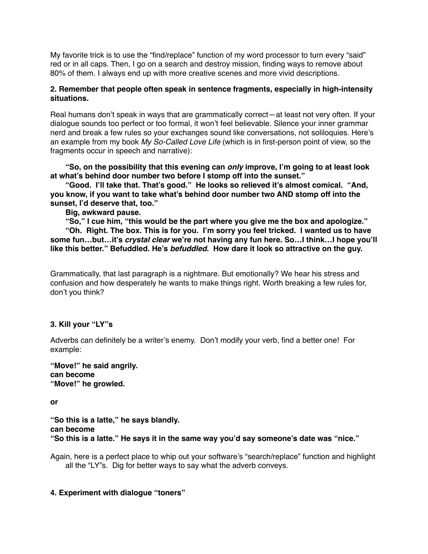My favorite trick is to use the "find/replace" function of my word processor to turn every "said" red or in all caps. Then, I go on a search and destroy mission, finding ways to remove about 80% of them. I always end up with more creative scenes and more vivid descriptions.

### **2. Remember that people often speak in sentence fragments, especially in high-intensity situations.**

Real humans don't speak in ways that are grammatically correct—at least not very often. If your dialogue sounds too perfect or too formal, it won't feel believable. Silence your inner grammar nerd and break a few rules so your exchanges sound like conversations, not soliloquies. Here's an example from my book *My So-Called Love Life* (which is in first-person point of view, so the fragments occur in speech and narrative):

**"So, on the possibility that this evening can** *only* **improve, I'm going to at least look at what's behind door number two before I stomp off into the sunset."**

**"Good. I'll take that. That's good." He looks so relieved it's almost comical. "And, you know, if you want to take what's behind door number two AND stomp off into the sunset, I'd deserve that, too."** 

**Big, awkward pause.**

**"So," I cue him, "this would be the part where you give me the box and apologize." "Oh. Right. The box. This is for you. I'm sorry you feel tricked. I wanted us to have some fun…but…it's** *crystal clear* **we're not having any fun here. So…I think…I hope you'll like this better." Befuddled. He's** *befuddled***. How dare it look so attractive on the guy.**

Grammatically, that last paragraph is a nightmare. But emotionally? We hear his stress and confusion and how desperately he wants to make things right. Worth breaking a few rules for, don't you think?

### **3. Kill your "LY"s**

Adverbs can definitely be a writer's enemy. Don't modify your verb, find a better one! For example:

**"Move!" he said angrily. can become "Move!" he growled.**

**or**

**"So this is a latte," he says blandly. can become "So this is a latte." He says it in the same way you'd say someone's date was "nice."**

Again, here is a perfect place to whip out your software's "search/replace" function and highlight all the "LY"s. Dig for better ways to say what the adverb conveys.

# **4. Experiment with dialogue "toners"**